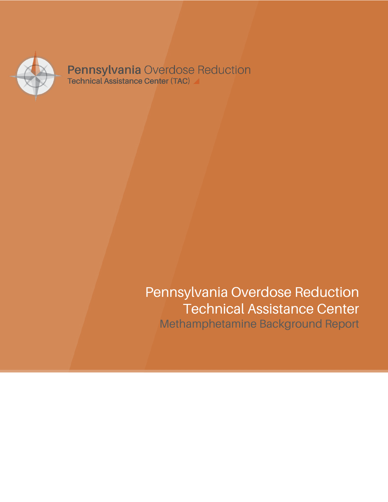

**Pennsylvania Overdose Reduction**<br>Technical Assistance Center (TAC)

# Pennsylvania Overdose Reduction Technical Assistance Center Methamphetamine Background Report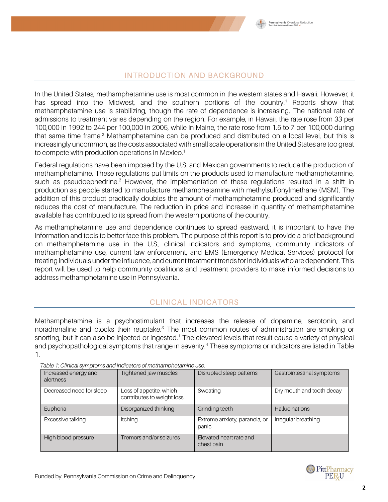

#### INTRODUCTION AND BACKGROUND

In the United States, methamphetamine use is most common in the western states and Hawaii. However, it has spread into the Midwest, and the southern portions of the country. <sup>1</sup> Reports show that methamphetamine use is stabilizing, though the rate of dependence is increasing. The national rate of admissions to treatment varies depending on the region. For example, in Hawaii, the rate rose from 33 per 100,000 in 1992 to 244 per 100,000 in 2005, while in Maine, the rate rose from 1.5 to 7 per 100,000 during that same time frame.<sup>2</sup> Methamphetamine can be produced and distributed on a local level, but this is increasingly uncommon, as the costs associated with small scale operations in the United States are too great to compete with production operations in Mexico.<sup>1</sup>

Federal regulations have been imposed by the U.S. and Mexican governments to reduce the production of methamphetamine. These regulations put limits on the products used to manufacture methamphetamine, such as pseudoephedrine.<sup>2</sup> However, the implementation of these regulations resulted in a shift in production as people started to manufacture methamphetamine with methylsulfonylmethane (MSM). The addition of this product practically doubles the amount of methamphetamine produced and significantly reduces the cost of manufacture. The reduction in price and increase in quantity of methamphetamine available has contributed to its spread from the western portions of the country.

As methamphetamine use and dependence continues to spread eastward, it is important to have the information and tools to better face this problem. The purpose of this report is to provide a brief background on methamphetamine use in the U.S., clinical indicators and symptoms, community indicators of methamphetamine use, current law enforcement, and EMS (Emergency Medical Services) protocol for treating individuals under the influence, and current treatment trends for individuals who are dependent. This report will be used to help community coalitions and treatment providers to make informed decisions to address methamphetamine use in Pennsylvania.

## CLINICAL INDICATORS

Methamphetamine is a psychostimulant that increases the release of dopamine, serotonin, and noradrenaline and blocks their reuptake.<sup>3</sup> The most common routes of administration are smoking or snorting, but it can also be injected or ingested.<sup>1</sup> The elevated levels that result cause a variety of physical and psychopathological symptoms that range in severity. <sup>4</sup> These symptoms or indicators are listed in Table 1.

| Increased energy and<br>alertness | Tightened jaw muscles                                 | Disrupted sleep patterns               | Gastrointestinal symptoms |
|-----------------------------------|-------------------------------------------------------|----------------------------------------|---------------------------|
| Decreased need for sleep          | Loss of appetite, which<br>contributes to weight loss | Sweating                               | Dry mouth and tooth decay |
| Euphoria                          | Disorganized thinking                                 | Grinding teeth                         | <b>Hallucinations</b>     |
| Excessive talking                 | Itching                                               | Extreme anxiety, paranoia, or<br>panic | Irregular breathing       |
| High blood pressure               | Tremors and/or seizures                               | Elevated heart rate and<br>chest pain  |                           |

 *Table 1: Clinical symptoms and indicators of methamphetamine use.*

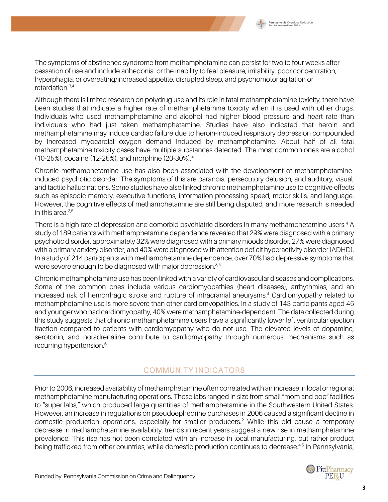

The symptoms of abstinence syndrome from methamphetamine can persist for two to four weeks after cessation of use and include anhedonia, or the inability to feel pleasure, irritability, poor concentration, hyperphagia, or overeating/increased appetite, disrupted sleep, and psychomotor agitation or retardation. 3,4

Although there is limited research on polydrug use and its role in fatal methamphetamine toxicity, there have been studies that indicate a higher rate of methamphetamine toxicity when it is used with other drugs. Individuals who used methamphetamine and alcohol had higher blood pressure and heart rate than individuals who had just taken methamphetamine. Studies have also indicated that heroin and methamphetamine may induce cardiac failure due to heroin-induced respiratory depression compounded by increased myocardial oxygen demand induced by methamphetamine. About half of all fatal methamphetamine toxicity cases have multiple substances detected. The most common ones are alcohol (10-25%), cocaine (12-25%), and morphine (20-30%). 4

Chronic methamphetamine use has also been associated with the development of methamphetamineinduced psychotic disorder. The symptoms of this are paranoia, persecutory delusion, and auditory, visual, and tactile hallucinations. Some studies have also linked chronic methamphetamine use to cognitive effects such as episodic memory, executive functions, information processing speed, motor skills, and language. However, the cognitive effects of methamphetamine are still being disputed, and more research is needed in this area.<sup>3,5</sup>

There is a high rate of depression and comorbid psychiatric disorders in many methamphetamine users. 4 A study of 189 patients with methamphetamine dependence revealed that 29% were diagnosed with a primary psychotic disorder, approximately 32% were diagnosed with a primary moods disorder, 27% were diagnosed with a primary anxiety disorder, and 40% were diagnosed with attention deficit hyperactivity disorder(ADHD). In a study of 214 participants with methamphetamine dependence, over 70% had depressive symptoms that were severe enough to be diagnosed with major depression. $^{\rm 35}$ 

Chronic methamphetamine use has been linked with a variety of cardiovascular diseases and complications. Some of the common ones include various cardiomyopathies (heart diseases), arrhythmias, and an increased risk of hemorrhagic stroke and rupture of intracranial aneurysms. <sup>4</sup> Cardiomyopathy related to methamphetamine use is more severe than other cardiomyopathies. In a study of 143 participants aged 45 and younger who had cardiomyopathy, 40% were methamphetamine-dependent. The data collected during this study suggests that chronic methamphetamine users have a significantly lower left ventricular ejection fraction compared to patients with cardiomyopathy who do not use. The elevated levels of dopamine, serotonin, and noradrenaline contribute to cardiomyopathy through numerous mechanisms such as recurring hypertension. 6

#### COMMUNITY INDICATORS

Prior to 2006, increased availability of methamphetamine often correlated with an increase in local or regional methamphetamine manufacturing operations. These labs ranged in size from small "mom and pop" facilities to "super labs," which produced large quantities of methamphetamine in the Southwestern United States. However, an increase in regulations on pseudoephedrine purchases in 2006 caused a significant decline in domestic production operations, especially for smaller producers. <sup>2</sup> While this did cause a temporary decrease in methamphetamine availability, trends in recent years suggest a new rise in methamphetamine prevalence. This rise has not been correlated with an increase in local manufacturing, but rather product being trafficked from other countries, while domestic production continues to decrease.<sup>4,5</sup> In Pennsylvania,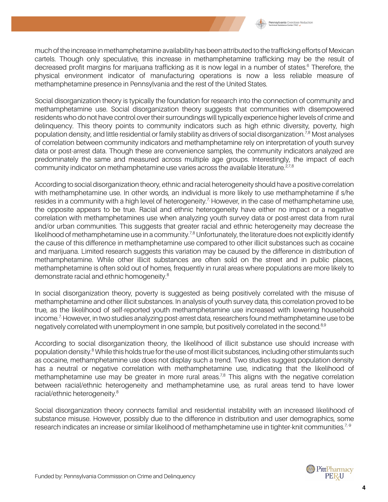

much of the increase in methamphetamine availability has been attributed to the trafficking efforts of Mexican cartels. Though only speculative, this increase in methamphetamine trafficking may be the result of decreased profit margins for marijuana trafficking as it is now legal in a number of states.<sup>6</sup> Therefore, the physical environment indicator of manufacturing operations is now a less reliable measure of methamphetamine presence in Pennsylvania and the rest of the United States.

Social disorganization theory is typically the foundation for research into the connection of community and methamphetamine use. Social disorganization theory suggests that communities with disempowered residents who do not have control over their surroundings will typically experience higher levels of crime and delinquency. This theory points to community indicators such as high ethnic diversity, poverty, high population density, and little residential or family stability as drivers of social disorganization.<sup>7,8</sup> Most analyses of correlation between community indicators and methamphetamine rely on interpretation of youth survey data or post-arrest data. Though these are convenience samples, the community indicators analyzed are predominately the same and measured across multiple age groups. Interestingly, the impact of each community indicator on methamphetamine use varies across the available literature.<sup>2,7,8</sup>

According to social disorganization theory, ethnic and racial heterogeneity should have a positive correlation with methamphetamine use. In other words, an individual is more likely to use methamphetamine if s/he resides in a community with a high level of heterogeneity.<sup>7</sup> However, in the case of methamphetamine use, the opposite appears to be true. Racial and ethnic heterogeneity have either no impact or a negative correlation with methamphetamines use when analyzing youth survey data or post-arrest data from rural and/or urban communities. This suggests that greater racial and ethnic heterogeneity may decrease the likelihood of methamphetamine use in a community.<sup>7,8</sup> Unfortunately, the literature does not explicitly identify the cause of this difference in methamphetamine use compared to other illicit substances such as cocaine and marijuana. Limited research suggests this variation may be caused by the difference in distribution of methamphetamine. While other illicit substances are often sold on the street and in public places, methamphetamine is often sold out of homes, frequently in rural areas where populations are more likely to demonstrate racial and ethnic homogeneity.<sup>8</sup>

In social disorganization theory, poverty is suggested as being positively correlated with the misuse of methamphetamine and other illicit substances. In analysis of youth survey data, this correlation proved to be true, as the likelihood of self-reported youth methamphetamine use increased with lowering household income.<sup>7</sup> However, in two studies analyzing post-arrest data, researchers found methamphetamine use to be negatively correlated with unemployment in one sample, but positively correlated in the second.<sup>8,9</sup>

According to social disorganization theory, the likelihood of illicit substance use should increase with population density. <sup>8</sup> While this holds true for the use of most illicit substances, including other stimulants such as cocaine, methamphetamine use does not display such a trend. Two studies suggest population density has a neutral or negative correlation with methamphetamine use, indicating that the likelihood of methamphetamine use may be greater in more rural areas.<sup>7,8</sup> This aligns with the negative correlation between racial/ethnic heterogeneity and methamphetamine use, as rural areas tend to have lower racial/ethnic heterogeneity.<sup>8</sup>

Social disorganization theory connects familial and residential instability with an increased likelihood of substance misuse. However, possibly due to the difference in distribution and user demographics, some research indicates an increase or similar likelihood of methamphetamine use in tighter-knit communities.<sup>7,9</sup>

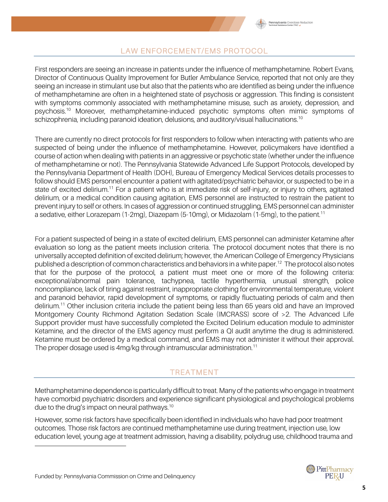## LAW ENFORCEMENT/EMS PROTOCOL

First responders are seeing an increase in patients under the influence of methamphetamine. Robert Evans, Director of Continuous Quality Improvement for Butler Ambulance Service, reported that not only are they seeing an increase in stimulant use but also that the patients who are identified as being under the influence of methamphetamine are often in a heightened state of psychosis or aggression. This finding is consistent with symptoms commonly associated with methamphetamine misuse, such as anxiety, depression, and psychosis.<sup>10</sup> Moreover, methamphetamine-induced psychotic symptoms often mimic symptoms of schizophrenia, including paranoid ideation, delusions, and auditory/visual hallucinations.<sup>10</sup>

There are currently no direct protocols for first responders to follow when interacting with patients who are suspected of being under the influence of methamphetamine. However, policymakers have identified a course of action when dealing with patients in an aggressive or psychotic state (whether under the influence of methamphetamine or not). The Pennsylvania Statewide Advanced Life Support Protocols, developed by the Pennsylvania Department of Health (DOH), Bureau of Emergency Medical Services details processes to follow should EMS personnel encounter a patient with agitated/psychiatric behavior, or suspected to be in a state of excited delirium.<sup>11</sup> For a patient who is at immediate risk of self-injury, or injury to others, agitated delirium, or a medical condition causing agitation, EMS personnel are instructed to restrain the patient to prevent injury to self or others. In cases of aggression or continued struggling, EMS personnel can administer a sedative, either Lorazepam (1-2mg), Diazepam (5-10mg), or Midazolam (1-5mg), to the patient.<sup>11</sup>

For a patient suspected of being in a state of excited delirium, EMS personnel can administer Ketamine after evaluation so long as the patient meets inclusion criteria. The protocol document notes that there is no universally accepted definition of excited delirium; however, the American College of Emergency Physicians published a description of common characteristics and behaviors in a white paper.<sup>12</sup> The protocol also notes that for the purpose of the protocol, a patient must meet one or more of the following criteria: exceptional/abnormal pain tolerance, tachypnea, tactile hyperthermia, unusual strength, police noncompliance, lack of tiring against restraint, inappropriate clothing for environmental temperature, violent and paranoid behavior, rapid development of symptoms, or rapidly fluctuating periods of calm and then delirium.<sup>11</sup> Other inclusion criteria include the patient being less than 65 years old and have an Improved Montgomery County Richmond Agitation Sedation Scale (IMCRASS) score of >2. The Advanced Life Support provider must have successfully completed the Excited Delirium education module to administer Ketamine, and the director of the EMS agency must perform a QI audit anytime the drug is administered. Ketamine must be ordered by a medical command, and EMS may not administer it without their approval. The proper dosage used is  $4$ mg/kg through intramuscular administration.<sup>11</sup>

## TREATMENT

Methamphetamine dependence is particularly difficult to treat. Many of the patients who engage in treatment have comorbid psychiatric disorders and experience significant physiological and psychological problems due to the drug's impact on neural pathways. $^{10}$ 

However, some risk factors have specifically been identified in individuals who have had poor treatment outcomes. Those risk factors are continued methamphetamine use during treatment, injection use, low education level, young age at treatment admission, having a disability, polydrug use, childhood trauma and

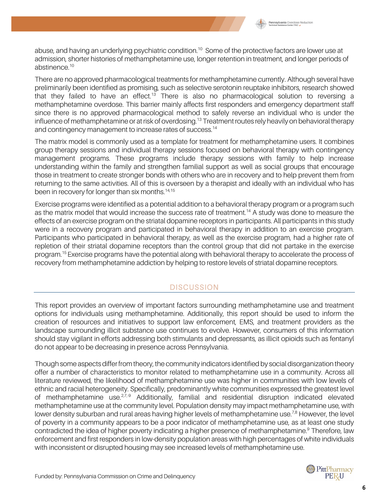

abuse, and having an underlying psychiatric condition.<sup>10</sup> Some of the protective factors are lower use at admission, shorter histories of methamphetamine use, longer retention in treatment, and longer periods of abstinence. 10

There are no approved pharmacological treatments for methamphetamine currently. Although several have preliminarily been identified as promising, such as selective serotonin reuptake inhibitors, research showed that they failed to have an effect.<sup>13</sup> There is also no pharmacological solution to reversing a methamphetamine overdose. This barrier mainly affects first responders and emergency department staff since there is no approved pharmacological method to safely reverse an individual who is under the influence of methamphetamine or at risk of overdosing.<sup>13</sup> Treatment routes rely heavily on behavioral therapy and contingency management to increase rates of success.<sup>14</sup>

The matrix model is commonly used as a template for treatment for methamphetamine users. It combines group therapy sessions and individual therapy sessions focused on behavioral therapy with contingency management programs. These programs include therapy sessions with family to help increase understanding within the family and strengthen familial support as well as social groups that encourage those in treatment to create stronger bonds with others who are in recovery and to help prevent them from returning to the same activities. All of this is overseen by a therapist and ideally with an individual who has been in recovery for longer than six months.<sup>14,15</sup>

Exercise programs were identified as a potential addition to a behavioral therapy program or a program such as the matrix model that would increase the success rate of treatment. <sup>14</sup> A study was done to measure the effects of an exercise program on the striatal dopamine receptors in participants. All participants in this study were in a recovery program and participated in behavioral therapy in addition to an exercise program. Participants who participated in behavioral therapy, as well as the exercise program, had a higher rate of repletion of their striatal dopamine receptors than the control group that did not partake in the exercise program. 15Exercise programs have the potential along with behavioral therapy to accelerate the process of recovery from methamphetamine addiction by helping to restore levels of striatal dopamine receptors.

#### **DISCUSSION**

This report provides an overview of important factors surrounding methamphetamine use and treatment options for individuals using methamphetamine. Additionally, this report should be used to inform the creation of resources and initiatives to support law enforcement, EMS, and treatment providers as the landscape surrounding illicit substance use continues to evolve. However, consumers of this information should stay vigilant in efforts addressing both stimulants and depressants, as illicit opioids such as fentanyl do not appear to be decreasing in presence across Pennsylvania.

Though some aspects differ from theory, the community indicators identified by social disorganization theory offer a number of characteristics to monitor related to methamphetamine use in a community. Across all literature reviewed, the likelihood of methamphetamine use was higher in communities with low levels of ethnic and racial heterogeneity. Specifically, predominantly white communities expressed the greatest level of methamphetamine use.<sup>27,9</sup> Additionally, familial and residential disruption indicated elevated methamphetamine use at the community level. Population density may impact methamphetamine use, with lower density suburban and rural areas having higher levels of methamphetamine use.<sup>7,8</sup> However, the level of poverty in a community appears to be a poor indicator of methamphetamine use, as at least one study contradicted the idea of higher poverty indicating a higher presence of methamphetamine.<sup>9</sup> Therefore, law enforcement and first responders in low-density population areas with high percentages of white individuals with inconsistent or disrupted housing may see increased levels of methamphetamine use.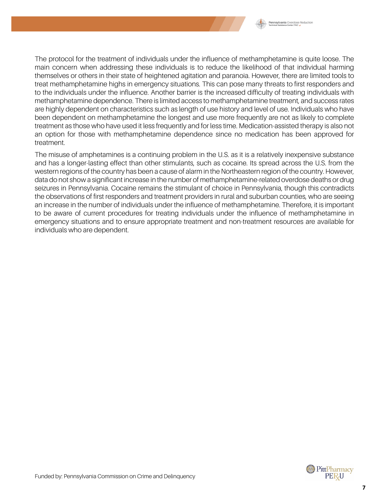

The protocol for the treatment of individuals under the influence of methamphetamine is quite loose. The main concern when addressing these individuals is to reduce the likelihood of that individual harming themselves or others in their state of heightened agitation and paranoia. However, there are limited tools to treat methamphetamine highs in emergency situations. This can pose many threats to first responders and to the individuals under the influence. Another barrier is the increased difficulty of treating individuals with methamphetamine dependence. There is limited access to methamphetamine treatment, and success rates are highly dependent on characteristics such as length of use history and level of use. Individuals who have been dependent on methamphetamine the longest and use more frequently are not as likely to complete treatment as those who have used it less frequently and for less time. Medication-assisted therapy is also not an option for those with methamphetamine dependence since no medication has been approved for treatment.

The misuse of amphetamines is a continuing problem in the U.S. as it is a relatively inexpensive substance and has a longer-lasting effect than other stimulants, such as cocaine. Its spread across the U.S. from the western regions of the country has been a cause of alarm in the Northeastern region of the country. However, data do not show a significant increase in the number of methamphetamine-related overdose deaths or drug seizures in Pennsylvania. Cocaine remains the stimulant of choice in Pennsylvania, though this contradicts the observations of first responders and treatment providers in rural and suburban counties, who are seeing an increase in the number of individuals under the influence of methamphetamine. Therefore, it is important to be aware of current procedures for treating individuals under the influence of methamphetamine in emergency situations and to ensure appropriate treatment and non-treatment resources are available for individuals who are dependent.